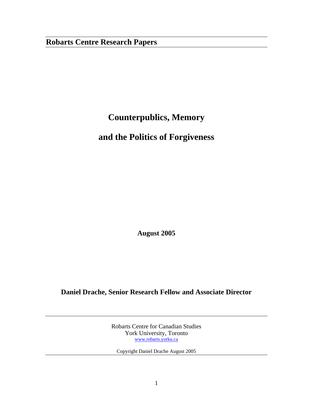## **Robarts Centre Research Papers**

# **Counterpublics, Memory**

## **and the Politics of Forgiveness**

**August 2005** 

### **Daniel Drache, Senior Research Fellow and Associate Director**

Robarts Centre for Canadian Studies York University, Toronto www.robarts.yorku.ca

Copyright Daniel Drache August 2005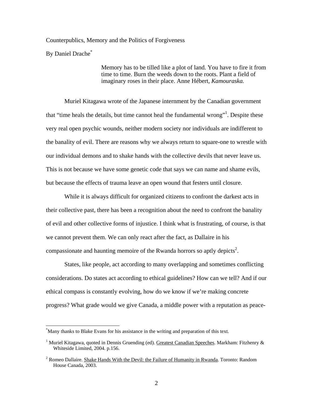Counterpublics, Memory and the Politics of Forgiveness

By Daniel Drache<sup>\*</sup>

 $\overline{a}$ 

Memory has to be tilled like a plot of land. You have to fire it from time to time. Burn the weeds down to the roots. Plant a field of imaginary roses in their place. Anne Hébert, *Kamouraska.* 

 Muriel Kitagawa wrote of the Japanese internment by the Canadian government that "time heals the details, but time cannot heal the fundamental wrong"<sup>1</sup>. Despite these very real open psychic wounds, neither modern society nor individuals are indifferent to the banality of evil. There are reasons why we always return to square-one to wrestle with our individual demons and to shake hands with the collective devils that never leave us. This is not because we have some genetic code that says we can name and shame evils, but because the effects of trauma leave an open wound that festers until closure.

 While it is always difficult for organized citizens to confront the darkest acts in their collective past, there has been a recognition about the need to confront the banality of evil and other collective forms of injustice. I think what is frustrating, of course, is that we cannot prevent them. We can only react after the fact, as Dallaire in his compassionate and haunting memoire of the Rwanda horrors so aptly depicts<sup>2</sup>.

 States, like people, act according to many overlapping and sometimes conflicting considerations. Do states act according to ethical guidelines? How can we tell? And if our ethical compass is constantly evolving, how do we know if we're making concrete progress? What grade would we give Canada, a middle power with a reputation as peace-

<sup>\*</sup> Many thanks to Blake Evans for his assistance in the writing and preparation of this text.

<sup>&</sup>lt;sup>1</sup> Muriel Kitagawa, quoted in Dennis Gruending (ed). Greatest Canadian Speeches. Markham: Fitzhenry & Whiteside Limited, 2004. p.156.

<sup>&</sup>lt;sup>2</sup> Romeo Dallaire. Shake Hands With the Devil: the Failure of Humanity in Rwanda. Toronto: Random House Canada, 2003.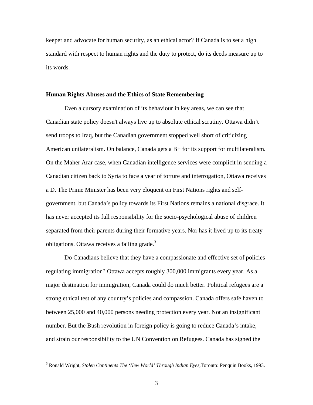keeper and advocate for human security, as an ethical actor? If Canada is to set a high standard with respect to human rights and the duty to protect, do its deeds measure up to its words.

#### **Human Rights Abuses and the Ethics of State Remembering**

 Even a cursory examination of its behaviour in key areas, we can see that Canadian state policy doesn't always live up to absolute ethical scrutiny. Ottawa didn't send troops to Iraq, but the Canadian government stopped well short of criticizing American unilateralism. On balance, Canada gets a B+ for its support for multilateralism. On the Maher Arar case, when Canadian intelligence services were complicit in sending a Canadian citizen back to Syria to face a year of torture and interrogation, Ottawa receives a D. The Prime Minister has been very eloquent on First Nations rights and selfgovernment, but Canada's policy towards its First Nations remains a national disgrace. It has never accepted its full responsibility for the socio-psychological abuse of children separated from their parents during their formative years. Nor has it lived up to its treaty obligations. Ottawa receives a failing grade.<sup>3</sup>

Do Canadians believe that they have a compassionate and effective set of policies regulating immigration? Ottawa accepts roughly 300,000 immigrants every year. As a major destination for immigration, Canada could do much better. Political refugees are a strong ethical test of any country's policies and compassion. Canada offers safe haven to between 25,000 and 40,000 persons needing protection every year. Not an insignificant number. But the Bush revolution in foreign policy is going to reduce Canada's intake, and strain our responsibility to the UN Convention on Refugees. Canada has signed the

 3 Ronald Wright, *Stolen Continents The 'New World' Through Indian Eyes,*Toronto: Penquin Books, 1993.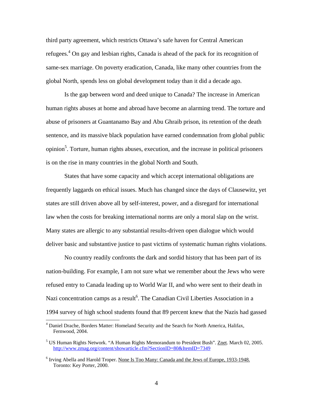third party agreement, which restricts Ottawa's safe haven for Central American refugees.<sup>4</sup> On gay and lesbian rights, Canada is ahead of the pack for its recognition of same-sex marriage. On poverty eradication, Canada, like many other countries from the global North, spends less on global development today than it did a decade ago.

 Is the gap between word and deed unique to Canada? The increase in American human rights abuses at home and abroad have become an alarming trend. The torture and abuse of prisoners at Guantanamo Bay and Abu Ghraib prison, its retention of the death sentence, and its massive black population have earned condemnation from global public opinion<sup>5</sup>. Torture, human rights abuses, execution, and the increase in political prisoners is on the rise in many countries in the global North and South.

 States that have some capacity and which accept international obligations are frequently laggards on ethical issues. Much has changed since the days of Clausewitz, yet states are still driven above all by self-interest, power, and a disregard for international law when the costs for breaking international norms are only a moral slap on the wrist. Many states are allergic to any substantial results-driven open dialogue which would deliver basic and substantive justice to past victims of systematic human rights violations.

 No country readily confronts the dark and sordid history that has been part of its nation-building. For example, I am not sure what we remember about the Jews who were refused entry to Canada leading up to World War II, and who were sent to their death in Nazi concentration camps as a result<sup>6</sup>. The Canadian Civil Liberties Association in a 1994 survey of high school students found that 89 percent knew that the Nazis had gassed

<sup>&</sup>lt;sup>4</sup> Daniel Drache, Borders Matter: Homeland Security and the Search for North America, Halifax, Fernwood, 2004.

<sup>&</sup>lt;sup>5</sup> US Human Rights Network. "A Human Rights Memorandum to President Bush". Znet. March 02, 2005. http://www.zmag.org/content/showarticle.cfm?SectionID=80&ItemID=7349

<sup>&</sup>lt;sup>6</sup> Irving Abella and Harold Troper. None Is Too Many: Canada and the Jews of Europe, 1933-1948. Toronto: Key Porter, 2000.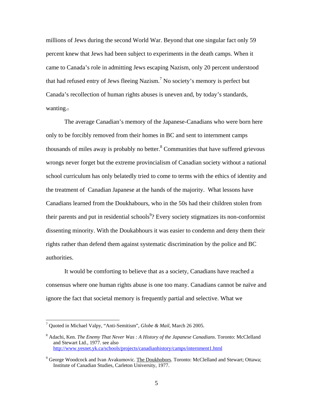millions of Jews during the second World War. Beyond that one singular fact only 59 percent knew that Jews had been subject to experiments in the death camps. When it came to Canada's role in admitting Jews escaping Nazism, only 20 percent understood that had refused entry of Jews fleeing Nazism.<sup>7</sup> No society's memory is perfect but Canada's recollection of human rights abuses is uneven and, by today's standards, wanting..

The average Canadian's memory of the Japanese-Canadians who were born here only to be forcibly removed from their homes in BC and sent to internment camps thousands of miles away is probably no better. $8$  Communities that have suffered grievous wrongs never forget but the extreme provincialism of Canadian society without a national school curriculum has only belatedly tried to come to terms with the ethics of identity and the treatment of Canadian Japanese at the hands of the majority. What lessons have Canadians learned from the Doukhabours, who in the 50s had their children stolen from their parents and put in residential schools<sup>9</sup>? Every society stigmatizes its non-conformist dissenting minority. With the Doukabhours it was easier to condemn and deny them their rights rather than defend them against systematic discrimination by the police and BC authorities.

 It would be comforting to believe that as a society, Canadians have reached a consensus where one human rights abuse is one too many. Canadians cannot be naïve and ignore the fact that societal memory is frequently partial and selective. What we

<sup>7</sup> Quoted in Michael Valpy, "Anti-Semitism", *Globe & Mail*, March 26 2005.

<sup>8</sup> Adachi, Ken. *The Enemy That Never Was : A History of the Japanese Canadians*. Toronto: McClelland and Stewart Ltd., 1977. see also http://www.yesnet.yk.ca/schools/projects/canadianhistory/camps/internment1.html

<sup>&</sup>lt;sup>9</sup> George Woodcock and Ivan Avakumovic. The Doukhobors. Toronto: McClelland and Stewart; Ottawa; Institute of Canadian Studies, Carleton University, 1977.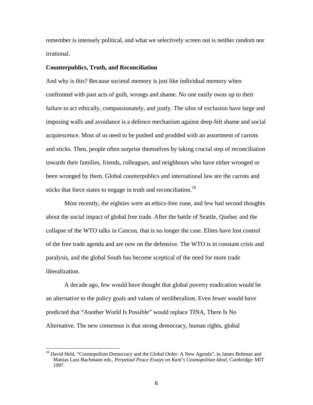remember is intensely political, and what we selectively screen out is neither random nor irrational.

### **Counterpublics, Truth, and Reconciliation**

 $\overline{a}$ 

And why is this? Because societal memory is just like individual memory when confronted with past acts of guilt, wrongs and shame. No one easily owns up to their failure to act ethically, compassionately, and justly. The silos of exclusion have large and imposing walls and avoidance is a defence mechanism against deep-felt shame and social acquiescence. Most of us need to be pushed and prodded with an assortment of carrots and sticks. Then, people often surprise themselves by taking crucial step of reconciliation towards their families, friends, colleagues, and neighbours who have either wronged or been wronged by them. Global counterpublics and international law are the carrots and sticks that force states to engage in truth and reconciliation.<sup>10</sup>

 Most recently, the eighties were an ethics-free zone, and few had second thoughts about the social impact of global free trade. After the battle of Seattle, Quebec and the collapse of the WTO talks in Cancun, that is no longer the case. Elites have lost control of the free trade agenda and are now on the defensive. The WTO is in constant crisis and paralysis, and the global South has become sceptical of the need for more trade liberalization.

 A decade ago, few would have thought that global poverty eradication would be an alternative to the policy goals and values of neoliberalism. Even fewer would have predicted that "Another World Is Possible" would replace TINA, There Is No Alternative. The new consensus is that strong democracy, human rights, global

<sup>&</sup>lt;sup>10</sup> David Held, "Cosmopolitan Democracy and the Global Order: A New Agenda", in James Bohman and Mattias Lutz-Bachmann eds., *Perpetual Peace Essays on Kant's Cosmopolitan Ideal,* Cambridge: MIT 1997.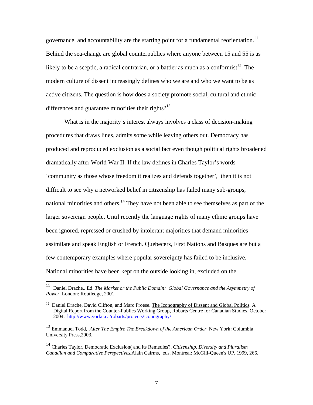governance, and accountability are the starting point for a fundamental reorientation.<sup>11</sup> Behind the sea-change are global counterpublics where anyone between 15 and 55 is as likely to be a sceptic, a radical contrarian, or a battler as much as a conformist<sup>12</sup>. The modern culture of dissent increasingly defines who we are and who we want to be as active citizens. The question is how does a society promote social, cultural and ethnic differences and guarantee minorities their rights? $13$ 

 What is in the majority's interest always involves a class of decision-making procedures that draws lines, admits some while leaving others out. Democracy has produced and reproduced exclusion as a social fact even though political rights broadened dramatically after World War II. If the law defines in Charles Taylor's words 'community as those whose freedom it realizes and defends together', then it is not difficult to see why a networked belief in citizenship has failed many sub-groups, national minorities and others.<sup>14</sup> They have not been able to see themselves as part of the larger sovereign people. Until recently the language rights of many ethnic groups have been ignored, repressed or crushed by intolerant majorities that demand minorities assimilate and speak English or French. Quebecers, First Nations and Basques are but a few contemporary examples where popular sovereignty has failed to be inclusive. National minorities have been kept on the outside looking in, excluded on the

 $11\,$ 11 Daniel Drache,. Ed. *The Market or the Public Domain: Global Governance and the Asymmetry of Power*. London: Routledge, 2001.

<sup>&</sup>lt;sup>12</sup> Daniel Drache, David Clifton, and Marc Froese. The Iconography of Dissent and Global Politics. A Digital Report from the Counter-Publics Working Group, Robarts Centre for Canadian Studies, October 2004. http://www.yorku.ca/robarts/projects/iconography/

<sup>13</sup> Emmanuel Todd, *After The Empire The Breakdown of the American Order*. New York: Columbia University Press,2003.

<sup>14</sup> Charles Taylor, Democratic Exclusion( and its Remedies?, *Citizenship, Diversity and Pluralism Canadian and Comparative Perspectives.*Alain Cairms, eds. Montreal: McGill-Queen's UP, 1999, 266.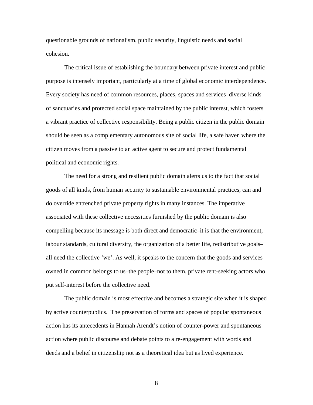questionable grounds of nationalism, public security, linguistic needs and social cohesion.

The critical issue of establishing the boundary between private interest and public purpose is intensely important, particularly at a time of global economic interdependence. Every society has need of common resources, places, spaces and services–diverse kinds of sanctuaries and protected social space maintained by the public interest, which fosters a vibrant practice of collective responsibility. Being a public citizen in the public domain should be seen as a complementary autonomous site of social life, a safe haven where the citizen moves from a passive to an active agent to secure and protect fundamental political and economic rights.

The need for a strong and resilient public domain alerts us to the fact that social goods of all kinds, from human security to sustainable environmental practices, can and do override entrenched private property rights in many instances. The imperative associated with these collective necessities furnished by the public domain is also compelling because its message is both direct and democratic–it is that the environment, labour standards, cultural diversity, the organization of a better life, redistributive goals– all need the collective 'we'. As well, it speaks to the concern that the goods and services owned in common belongs to us–the people–not to them, private rent-seeking actors who put self-interest before the collective need.

The public domain is most effective and becomes a strategic site when it is shaped by active counterpublics. The preservation of forms and spaces of popular spontaneous action has its antecedents in Hannah Arendt's notion of counter-power and spontaneous action where public discourse and debate points to a re-engagement with words and deeds and a belief in citizenship not as a theoretical idea but as lived experience.

8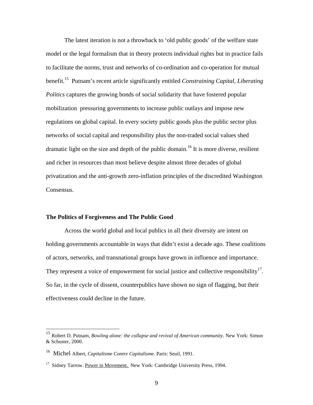The latest iteration is not a throwback to 'old public goods' of the welfare state model or the legal formalism that in theory protects individual rights but in practice fails to facilitate the norms, trust and networks of co-ordination and co-operation for mutual benefit.15 Putnam's recent article significantly entitled *Constraining Capital, Liberating Politics* captures the growing bonds of social solidarity that have fostered popular mobilization pressuring governments to increase public outlays and impose new regulations on global capital. In every society public goods plus the public sector plus networks of social capital and responsibility plus the non-traded social values shed dramatic light on the size and depth of the public domain.<sup>16</sup> It is more diverse, resilient and richer in resources than most believe despite almost three decades of global privatization and the anti-growth zero-inflation principles of the discredited Washington Consensus.

### **The Politics of Forgiveness and The Public Good**

Across the world global and local publics in all their diversity are intent on holding governments accountable in ways that didn't exist a decade ago. These coalitions of actors, networks, and transnational groups have grown in influence and importance. They represent a voice of empowerment for social justice and collective responsibility<sup>17</sup>. So far, in the cycle of dissent, counterpublics have shown no sign of flagging, but their effectiveness could decline in the future.

<sup>15</sup> Robert D. Putnam, *Bowling alone: the collapse and revival of American community*. New York: Simon & Schuster, 2000.

<sup>16</sup> Michel Albert, *Capitalisme Contre Capitalisme*. Paris: Seuil, 1991.

<sup>&</sup>lt;sup>17</sup> Sidney Tarrow. Power in Movement. New York: Cambridge University Press, 1994.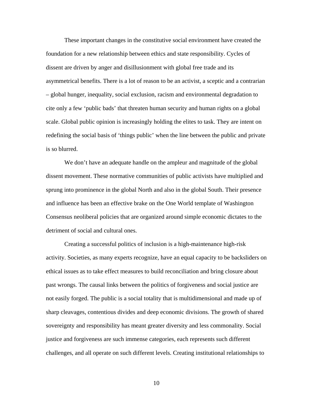These important changes in the constitutive social environment have created the foundation for a new relationship between ethics and state responsibility. Cycles of dissent are driven by anger and disillusionment with global free trade and its asymmetrical benefits. There is a lot of reason to be an activist, a sceptic and a contrarian – global hunger, inequality, social exclusion, racism and environmental degradation to cite only a few 'public bads' that threaten human security and human rights on a global scale. Global public opinion is increasingly holding the elites to task. They are intent on redefining the social basis of 'things public' when the line between the public and private is so blurred.

We don't have an adequate handle on the ampleur and magnitude of the global dissent movement. These normative communities of public activists have multiplied and sprung into prominence in the global North and also in the global South. Their presence and influence has been an effective brake on the One World template of Washington Consensus neoliberal policies that are organized around simple economic dictates to the detriment of social and cultural ones.

Creating a successful politics of inclusion is a high-maintenance high-risk activity. Societies, as many experts recognize, have an equal capacity to be backsliders on ethical issues as to take effect measures to build reconciliation and bring closure about past wrongs. The causal links between the politics of forgiveness and social justice are not easily forged. The public is a social totality that is multidimensional and made up of sharp cleavages, contentious divides and deep economic divisions. The growth of shared sovereignty and responsibility has meant greater diversity and less commonality. Social justice and forgiveness are such immense categories, each represents such different challenges, and all operate on such different levels. Creating institutional relationships to

10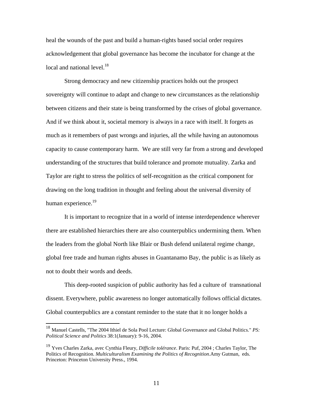heal the wounds of the past and build a human-rights based social order requires acknowledgement that global governance has become the incubator for change at the local and national level. $18$ 

Strong democracy and new citizenship practices holds out the prospect sovereignty will continue to adapt and change to new circumstances as the relationship between citizens and their state is being transformed by the crises of global governance. And if we think about it, societal memory is always in a race with itself. It forgets as much as it remembers of past wrongs and injuries, all the while having an autonomous capacity to cause contemporary harm. We are still very far from a strong and developed understanding of the structures that build tolerance and promote mutuality. Zarka and Taylor are right to stress the politics of self-recognition as the critical component for drawing on the long tradition in thought and feeling about the universal diversity of human experience.<sup>19</sup>

 It is important to recognize that in a world of intense interdependence wherever there are established hierarchies there are also counterpublics undermining them. When the leaders from the global North like Blair or Bush defend unilateral regime change, global free trade and human rights abuses in Guantanamo Bay, the public is as likely as not to doubt their words and deeds.

 This deep-rooted suspicion of public authority has fed a culture of transnational dissent. Everywhere, public awareness no longer automatically follows official dictates. Global counterpublics are a constant reminder to the state that it no longer holds a

<sup>18</sup> Manuel Castells, "The 2004 Ithiel de Sola Pool Lecture: Global Governance and Global Politics." *PS: Political Science and Politics* 38:1(January): 9-16, 2004.

<sup>19</sup> Yves Charles Zarka, avec Cynthia Fleury, *Difficile tolérance*. Paris: Puf, 2004 ; Charles Taylor, The Politics of Recognition. *Multiculturalism Examining the Politics of Recognition*.Amy Gutman, eds. Princeton: Princeton University Press., 1994.